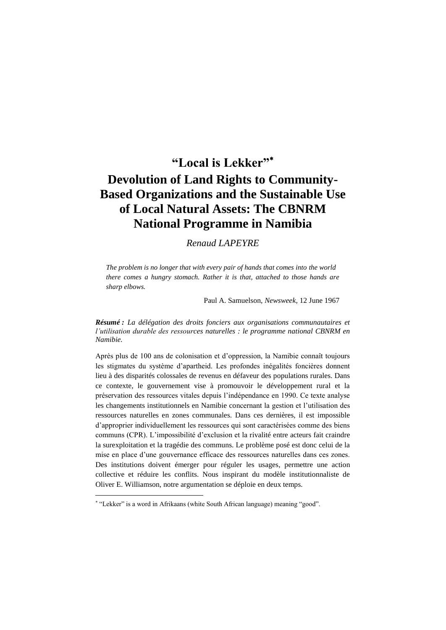# **"Local is Lekker" Devolution of Land Rights to Community-Based Organizations and the Sustainable Use of Local Natural Assets: The CBNRM National Programme in Namibia**

### *Renaud LAPEYRE*

*The problem is no longer that with every pair of hands that comes into the world there comes a hungry stomach. Rather it is that, attached to those hands are sharp elbows.*

Paul A. Samuelson, *Newsweek*, 12 June 1967

*Résumé : La délégation des droits fonciers aux organisations communautaires et l'utilisation durable des ressources naturelles : le programme national CBNRM en Namibie.*

Après plus de 100 ans de colonisation et d"oppression, la Namibie connaît toujours les stigmates du système d"apartheid. Les profondes inégalités foncières donnent lieu à des disparités colossales de revenus en défaveur des populations rurales. Dans ce contexte, le gouvernement vise à promouvoir le développement rural et la préservation des ressources vitales depuis l"indépendance en 1990. Ce texte analyse les changements institutionnels en Namibie concernant la gestion et l"utilisation des ressources naturelles en zones communales. Dans ces dernières, il est impossible d"approprier individuellement les ressources qui sont caractérisées comme des biens communs (CPR). L"impossibilité d"exclusion et la rivalité entre acteurs fait craindre la surexploitation et la tragédie des communs. Le problème posé est donc celui de la mise en place d"une gouvernance efficace des ressources naturelles dans ces zones. Des institutions doivent émerger pour réguler les usages, permettre une action collective et réduire les conflits. Nous inspirant du modèle institutionnaliste de Oliver E. Williamson, notre argumentation se déploie en deux temps.

"Lekker" is a word in Afrikaans (white South African language) meaning "good".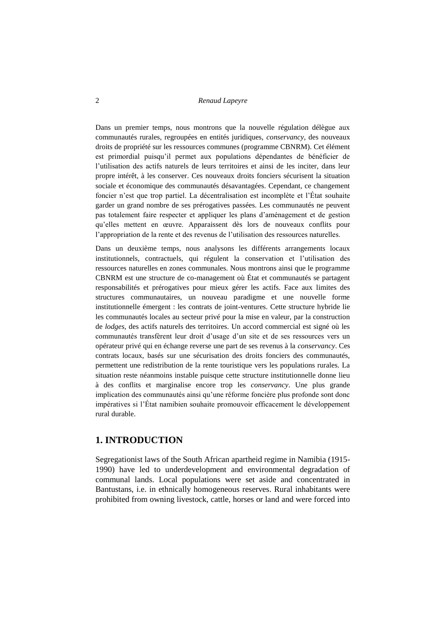Dans un premier temps, nous montrons que la nouvelle régulation délègue aux communautés rurales, regroupées en entités juridiques, *conservancy*, des nouveaux droits de propriété sur les ressources communes (programme CBNRM). Cet élément est primordial puisqu"il permet aux populations dépendantes de bénéficier de l"utilisation des actifs naturels de leurs territoires et ainsi de les inciter, dans leur propre intérêt, à les conserver. Ces nouveaux droits fonciers sécurisent la situation sociale et économique des communautés désavantagées. Cependant, ce changement foncier n"est que trop partiel. La décentralisation est incomplète et l"État souhaite garder un grand nombre de ses prérogatives passées. Les communautés ne peuvent pas totalement faire respecter et appliquer les plans d"aménagement et de gestion qu"elles mettent en œuvre. Apparaissent dès lors de nouveaux conflits pour l"appropriation de la rente et des revenus de l"utilisation des ressources naturelles.

Dans un deuxième temps, nous analysons les différents arrangements locaux institutionnels, contractuels, qui régulent la conservation et l"utilisation des ressources naturelles en zones communales. Nous montrons ainsi que le programme CBNRM est une structure de co-management où État et communautés se partagent responsabilités et prérogatives pour mieux gérer les actifs. Face aux limites des structures communautaires, un nouveau paradigme et une nouvelle forme institutionnelle émergent : les contrats de joint-ventures. Cette structure hybride lie les communautés locales au secteur privé pour la mise en valeur, par la construction de *lodges*, des actifs naturels des territoires. Un accord commercial est signé où les communautés transfèrent leur droit d"usage d"un site et de ses ressources vers un opérateur privé qui en échange reverse une part de ses revenus à la *conservancy*. Ces contrats locaux, basés sur une sécurisation des droits fonciers des communautés, permettent une redistribution de la rente touristique vers les populations rurales. La situation reste néanmoins instable puisque cette structure institutionnelle donne lieu à des conflits et marginalise encore trop les *conservancy*. Une plus grande implication des communautés ainsi qu"une réforme foncière plus profonde sont donc impératives si l"État namibien souhaite promouvoir efficacement le développement rural durable.

### **1. INTRODUCTION**

Segregationist laws of the South African apartheid regime in Namibia (1915- 1990) have led to underdevelopment and environmental degradation of communal lands. Local populations were set aside and concentrated in Bantustans, i.e. in ethnically homogeneous reserves. Rural inhabitants were prohibited from owning livestock, cattle, horses or land and were forced into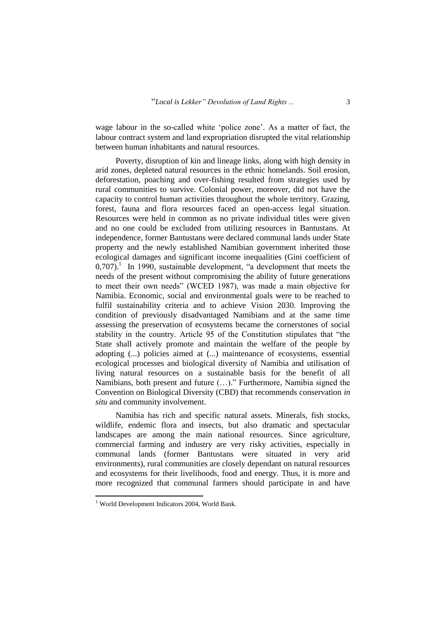wage labour in the so-called white "police zone". As a matter of fact, the labour contract system and land expropriation disrupted the vital relationship between human inhabitants and natural resources.

Poverty, disruption of kin and lineage links, along with high density in arid zones, depleted natural resources in the ethnic homelands. Soil erosion, deforestation, poaching and over-fishing resulted from strategies used by rural communities to survive. Colonial power, moreover, did not have the capacity to control human activities throughout the whole territory. Grazing, forest, fauna and flora resources faced an open-access legal situation. Resources were held in common as no private individual titles were given and no one could be excluded from utilizing resources in Bantustans. At independence, former Bantustans were declared communal lands under State property and the newly established Namibian government inherited those ecological damages and significant income inequalities (Gini coefficient of  $0,707$ ).<sup>1</sup> In 1990, sustainable development, "a development that meets the needs of the present without compromising the ability of future generations to meet their own needs" (WCED 1987), was made a main objective for Namibia. Economic, social and environmental goals were to be reached to fulfil sustainability criteria and to achieve Vision 2030. Improving the condition of previously disadvantaged Namibians and at the same time assessing the preservation of ecosystems became the cornerstones of social stability in the country. Article 95 of the Constitution stipulates that "the State shall actively promote and maintain the welfare of the people by adopting (...) policies aimed at (...) maintenance of ecosystems, essential ecological processes and biological diversity of Namibia and utilisation of living natural resources on a sustainable basis for the benefit of all Namibians, both present and future (…)." Furthermore, Namibia signed the Convention on Biological Diversity (CBD) that recommends conservation *in situ* and community involvement.

Namibia has rich and specific natural assets. Minerals, fish stocks, wildlife, endemic flora and insects, but also dramatic and spectacular landscapes are among the main national resources. Since agriculture, commercial farming and industry are very risky activities, especially in communal lands (former Bantustans were situated in very arid environments), rural communities are closely dependant on natural resources and ecosystems for their livelihoods, food and energy. Thus, it is more and more recognized that communal farmers should participate in and have

<sup>&</sup>lt;sup>1</sup> World Development Indicators 2004, World Bank.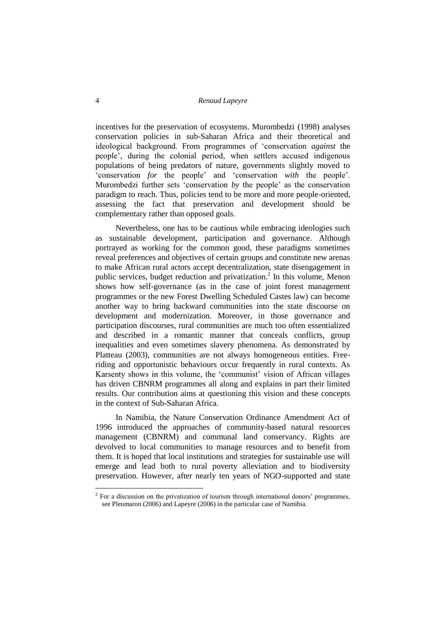incentives for the preservation of ecosystems. Murombedzi (1998) analyses conservation policies in sub-Saharan Africa and their theoretical and ideological background. From programmes of "conservation *against* the people", during the colonial period, when settlers accused indigenous populations of being predators of nature, governments slightly moved to "conservation *for* the people" and "conservation *with* the people". Murombedzi further sets 'conservation *by* the people' as the conservation paradigm to reach. Thus, policies tend to be more and more people-oriented, assessing the fact that preservation and development should be complementary rather than opposed goals.

Nevertheless, one has to be cautious while embracing ideologies such as sustainable development, participation and governance. Although portrayed as working for the common good, these paradigms sometimes reveal preferences and objectives of certain groups and constitute new arenas to make African rural actors accept decentralization, state disengagement in public services, budget reduction and privatization.<sup>2</sup> In this volume, Menon shows how self-governance (as in the case of joint forest management programmes or the new Forest Dwelling Scheduled Castes law) can become another way to bring backward communities into the state discourse on development and modernization. Moreover, in those governance and participation discourses, rural communities are much too often essentialized and described in a romantic manner that conceals conflicts, group inequalities and even sometimes slavery phenomena. As demonstrated by Platteau (2003), communities are not always homogeneous entities. Freeriding and opportunistic behaviours occur frequently in rural contexts. As Karsenty shows in this volume, the 'communist' vision of African villages has driven CBNRM programmes all along and explains in part their limited results. Our contribution aims at questioning this vision and these concepts in the context of Sub-Saharan Africa.

In Namibia, the Nature Conservation Ordinance Amendment Act of 1996 introduced the approaches of community-based natural resources management (CBNRM) and communal land conservancy. Rights are devolved to local communities to manage resources and to benefit from them. It is hoped that local institutions and strategies for sustainable use will emerge and lead both to rural poverty alleviation and to biodiversity preservation. However, after nearly ten years of NGO-supported and state

 $2^2$  For a discussion on the privatization of tourism through international donors' programmes, see Pleumaron (2006) and Lapeyre (2006) in the particular case of Namibia.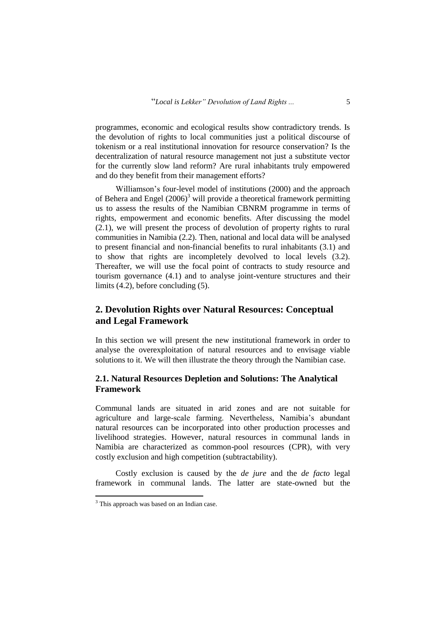programmes, economic and ecological results show contradictory trends. Is the devolution of rights to local communities just a political discourse of tokenism or a real institutional innovation for resource conservation? Is the decentralization of natural resource management not just a substitute vector for the currently slow land reform? Are rural inhabitants truly empowered and do they benefit from their management efforts?

Williamson"s four-level model of institutions (2000) and the approach of Behera and Engel  $(2006)^3$  will provide a theoretical framework permitting us to assess the results of the Namibian CBNRM programme in terms of rights, empowerment and economic benefits. After discussing the model (2.1), we will present the process of devolution of property rights to rural communities in Namibia (2.2). Then, national and local data will be analysed to present financial and non-financial benefits to rural inhabitants (3.1) and to show that rights are incompletely devolved to local levels (3.2). Thereafter, we will use the focal point of contracts to study resource and tourism governance (4.1) and to analyse joint-venture structures and their limits (4.2), before concluding (5).

# **2. Devolution Rights over Natural Resources: Conceptual and Legal Framework**

In this section we will present the new institutional framework in order to analyse the overexploitation of natural resources and to envisage viable solutions to it. We will then illustrate the theory through the Namibian case.

### **2.1. Natural Resources Depletion and Solutions: The Analytical Framework**

Communal lands are situated in arid zones and are not suitable for agriculture and large-scale farming. Nevertheless, Namibia"s abundant natural resources can be incorporated into other production processes and livelihood strategies. However, natural resources in communal lands in Namibia are characterized as common-pool resources (CPR), with very costly exclusion and high competition (subtractability).

Costly exclusion is caused by the *de jure* and the *de facto* legal framework in communal lands. The latter are state-owned but the

<sup>&</sup>lt;sup>3</sup> This approach was based on an Indian case.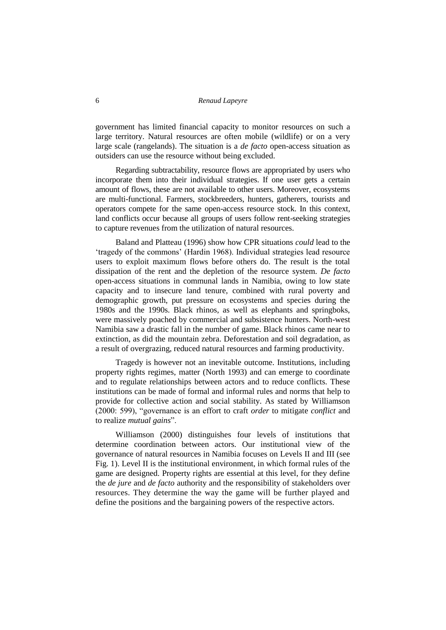government has limited financial capacity to monitor resources on such a large territory. Natural resources are often mobile (wildlife) or on a very large scale (rangelands). The situation is a *de facto* open-access situation as outsiders can use the resource without being excluded.

Regarding subtractability, resource flows are appropriated by users who incorporate them into their individual strategies. If one user gets a certain amount of flows, these are not available to other users. Moreover, ecosystems are multi-functional. Farmers, stockbreeders, hunters, gatherers, tourists and operators compete for the same open-access resource stock. In this context, land conflicts occur because all groups of users follow rent-seeking strategies to capture revenues from the utilization of natural resources.

Baland and Platteau (1996) show how CPR situations *could* lead to the 'tragedy of the commons' (Hardin 1968). Individual strategies lead resource users to exploit maximum flows before others do. The result is the total dissipation of the rent and the depletion of the resource system. *De facto* open-access situations in communal lands in Namibia, owing to low state capacity and to insecure land tenure, combined with rural poverty and demographic growth, put pressure on ecosystems and species during the 1980s and the 1990s. Black rhinos, as well as elephants and springboks, were massively poached by commercial and subsistence hunters. North-west Namibia saw a drastic fall in the number of game. Black rhinos came near to extinction, as did the mountain zebra. Deforestation and soil degradation, as a result of overgrazing, reduced natural resources and farming productivity.

Tragedy is however not an inevitable outcome. Institutions, including property rights regimes, matter (North 1993) and can emerge to coordinate and to regulate relationships between actors and to reduce conflicts. These institutions can be made of formal and informal rules and norms that help to provide for collective action and social stability. As stated by Williamson (2000: 599), "governance is an effort to craft *order* to mitigate *conflict* and to realize *mutual gains*".

Williamson (2000) distinguishes four levels of institutions that determine coordination between actors. Our institutional view of the governance of natural resources in Namibia focuses on Levels II and III (see Fig. 1). Level II is the institutional environment, in which formal rules of the game are designed. Property rights are essential at this level, for they define the *de jure* and *de facto* authority and the responsibility of stakeholders over resources. They determine the way the game will be further played and define the positions and the bargaining powers of the respective actors.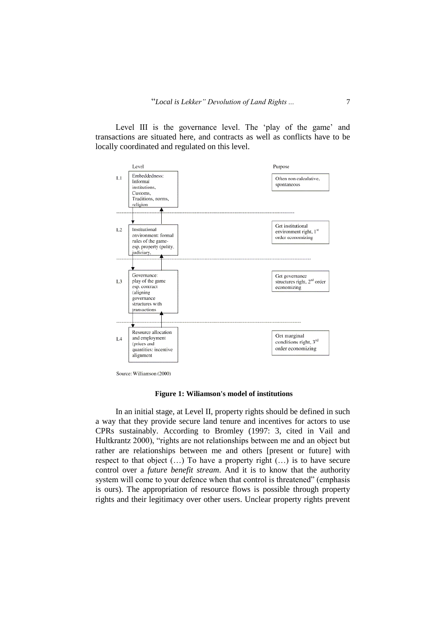Level III is the governance level. The 'play of the game' and transactions are situated here, and contracts as well as conflicts have to be locally coordinated and regulated on this level.



Source: Williamson (2000)

#### **Figure 1: Wiliamson's model of institutions**

In an initial stage, at Level II, property rights should be defined in such a way that they provide secure land tenure and incentives for actors to use CPRs sustainably. According to Bromley (1997: 3, cited in Vail and Hultkrantz 2000), "rights are not relationships between me and an object but rather are relationships between me and others [present or future] with respect to that object (…) To have a property right (…) is to have secure control over a *future benefit stream*. And it is to know that the authority system will come to your defence when that control is threatened" (emphasis is ours). The appropriation of resource flows is possible through property rights and their legitimacy over other users. Unclear property rights prevent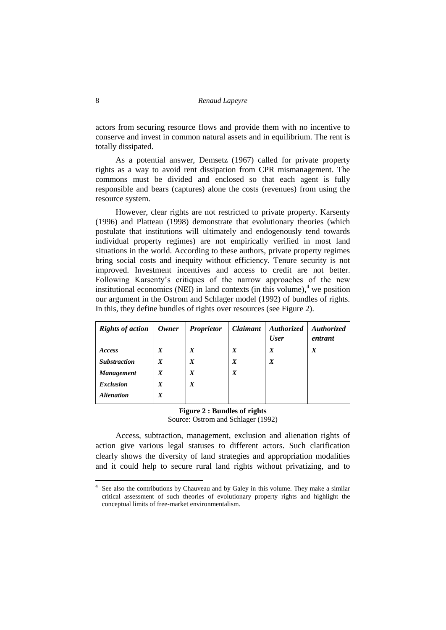actors from securing resource flows and provide them with no incentive to conserve and invest in common natural assets and in equilibrium. The rent is totally dissipated.

As a potential answer, Demsetz (1967) called for private property rights as a way to avoid rent dissipation from CPR mismanagement. The commons must be divided and enclosed so that each agent is fully responsible and bears (captures) alone the costs (revenues) from using the resource system.

However, clear rights are not restricted to private property. Karsenty (1996) and Platteau (1998) demonstrate that evolutionary theories (which postulate that institutions will ultimately and endogenously tend towards individual property regimes) are not empirically verified in most land situations in the world. According to these authors, private property regimes bring social costs and inequity without efficiency. Tenure security is not improved. Investment incentives and access to credit are not better. Following Karsenty"s critiques of the narrow approaches of the new institutional economics (NEI) in land contexts (in this volume), $4$  we position our argument in the Ostrom and Schlager model (1992) of bundles of rights. In this, they define bundles of rights over resources (see Figure 2).

| <b>Rights of action</b>  | Owner            | <b>Proprietor</b> | Claimant         | <b>Authorized</b><br><b>User</b> | <b>Authorized</b><br>entrant |
|--------------------------|------------------|-------------------|------------------|----------------------------------|------------------------------|
| Access                   | X                | $\boldsymbol{X}$  | X                | X                                | $\boldsymbol{X}$             |
| <b>Substraction</b>      | $\boldsymbol{X}$ | $\boldsymbol{X}$  | $\boldsymbol{X}$ | $\boldsymbol{X}$                 |                              |
| <b>Management</b>        | X                | $\boldsymbol{X}$  | $\boldsymbol{X}$ |                                  |                              |
| <b>Exclusion</b>         | X                | $\boldsymbol{X}$  |                  |                                  |                              |
| <i><b>Alienation</b></i> | X                |                   |                  |                                  |                              |

#### **Figure 2 : Bundles of rights** Source: Ostrom and Schlager (1992)

Access, subtraction, management, exclusion and alienation rights of action give various legal statuses to different actors. Such clarification clearly shows the diversity of land strategies and appropriation modalities and it could help to secure rural land rights without privatizing, and to

<u>.</u>

<sup>4</sup> See also the contributions by Chauveau and by Galey in this volume. They make a similar critical assessment of such theories of evolutionary property rights and highlight the conceptual limits of free-market environmentalism.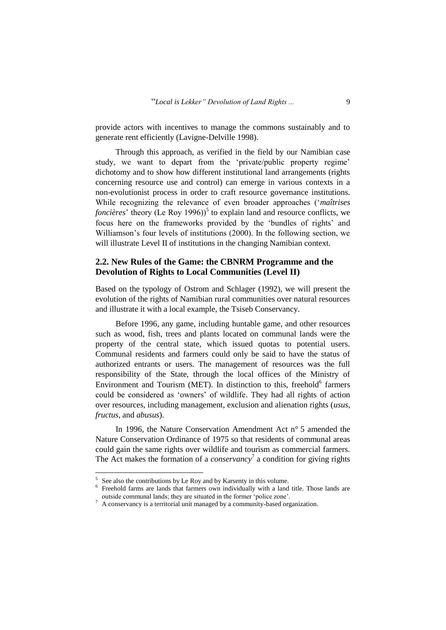provide actors with incentives to manage the commons sustainably and to generate rent efficiently (Lavigne-Delville 1998).

Through this approach, as verified in the field by our Namibian case study, we want to depart from the 'private/public property regime' dichotomy and to show how different institutional land arrangements (rights concerning resource use and control) can emerge in various contexts in a non-evolutionist process in order to craft resource governance institutions. While recognizing the relevance of even broader approaches ("*maîtrises foncières*' theory (Le Roy 1996))<sup>5</sup> to explain land and resource conflicts, we focus here on the frameworks provided by the "bundles of rights" and Williamson's four levels of institutions (2000). In the following section, we will illustrate Level II of institutions in the changing Namibian context.

### **2.2. New Rules of the Game: the CBNRM Programme and the Devolution of Rights to Local Communities (Level II)**

Based on the typology of Ostrom and Schlager (1992), we will present the evolution of the rights of Namibian rural communities over natural resources and illustrate it with a local example, the Tsiseb Conservancy.

Before 1996, any game, including huntable game, and other resources such as wood, fish, trees and plants located on communal lands were the property of the central state, which issued quotas to potential users. Communal residents and farmers could only be said to have the status of authorized entrants or users. The management of resources was the full responsibility of the State, through the local offices of the Ministry of Environment and Tourism (MET). In distinction to this, freehold<sup>6</sup> farmers could be considered as "owners" of wildlife. They had all rights of action over resources, including management, exclusion and alienation rights (*usus*, *fructus*, and *abusus*).

In 1996, the Nature Conservation Amendment Act n° 5 amended the Nature Conservation Ordinance of 1975 so that residents of communal areas could gain the same rights over wildlife and tourism as commercial farmers. The Act makes the formation of a *conservancy*<sup>7</sup> a condition for giving rights

 $5$  See also the contributions by Le Roy and by Karsenty in this volume.

<sup>6</sup> Freehold farms are lands that farmers own individually with a land title. Those lands are outside communal lands; they are situated in the former "police zone".

 $^7\,$  A conservancy is a territorial unit managed by a community-based organization.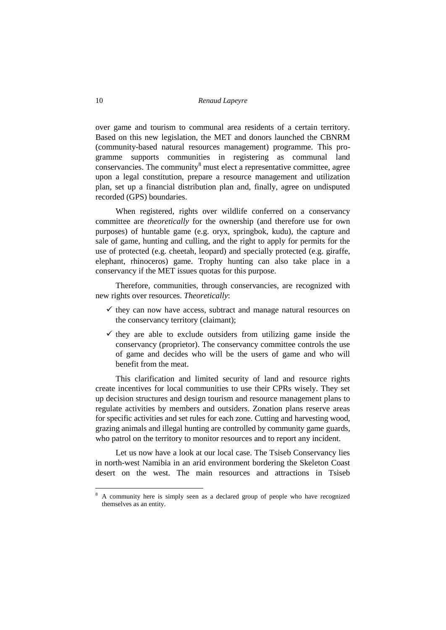over game and tourism to communal area residents of a certain territory. Based on this new legislation, the MET and donors launched the CBNRM (community-based natural resources management) programme. This programme supports communities in registering as communal land conservancies. The community $\delta$  must elect a representative committee, agree upon a legal constitution, prepare a resource management and utilization plan, set up a financial distribution plan and, finally, agree on undisputed recorded (GPS) boundaries.

When registered, rights over wildlife conferred on a conservancy committee are *theoretically* for the ownership (and therefore use for own purposes) of huntable game (e.g. oryx, springbok, kudu), the capture and sale of game, hunting and culling, and the right to apply for permits for the use of protected (e.g. cheetah, leopard) and specially protected (e.g. giraffe, elephant, rhinoceros) game. Trophy hunting can also take place in a conservancy if the MET issues quotas for this purpose.

Therefore, communities, through conservancies, are recognized with new rights over resources. *Theoretically*:

- $\checkmark$  they can now have access, subtract and manage natural resources on the conservancy territory (claimant);
- $\checkmark$  they are able to exclude outsiders from utilizing game inside the conservancy (proprietor). The conservancy committee controls the use of game and decides who will be the users of game and who will benefit from the meat.

This clarification and limited security of land and resource rights create incentives for local communities to use their CPRs wisely. They set up decision structures and design tourism and resource management plans to regulate activities by members and outsiders. Zonation plans reserve areas for specific activities and set rules for each zone. Cutting and harvesting wood, grazing animals and illegal hunting are controlled by community game guards, who patrol on the territory to monitor resources and to report any incident.

Let us now have a look at our local case. The Tsiseb Conservancy lies in north-west Namibia in an arid environment bordering the Skeleton Coast desert on the west. The main resources and attractions in Tsiseb

<sup>8</sup> A community here is simply seen as a declared group of people who have recognized themselves as an entity.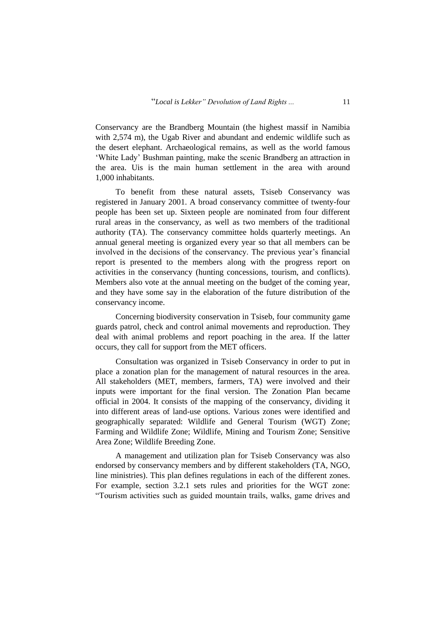Conservancy are the Brandberg Mountain (the highest massif in Namibia with 2,574 m), the Ugab River and abundant and endemic wildlife such as the desert elephant. Archaeological remains, as well as the world famous "White Lady" Bushman painting, make the scenic Brandberg an attraction in the area. Uis is the main human settlement in the area with around 1,000 inhabitants.

To benefit from these natural assets, Tsiseb Conservancy was registered in January 2001. A broad conservancy committee of twenty-four people has been set up. Sixteen people are nominated from four different rural areas in the conservancy, as well as two members of the traditional authority (TA). The conservancy committee holds quarterly meetings. An annual general meeting is organized every year so that all members can be involved in the decisions of the conservancy. The previous year's financial report is presented to the members along with the progress report on activities in the conservancy (hunting concessions, tourism, and conflicts). Members also vote at the annual meeting on the budget of the coming year, and they have some say in the elaboration of the future distribution of the conservancy income.

Concerning biodiversity conservation in Tsiseb, four community game guards patrol, check and control animal movements and reproduction. They deal with animal problems and report poaching in the area. If the latter occurs, they call for support from the MET officers.

Consultation was organized in Tsiseb Conservancy in order to put in place a zonation plan for the management of natural resources in the area. All stakeholders (MET, members, farmers, TA) were involved and their inputs were important for the final version. The Zonation Plan became official in 2004. It consists of the mapping of the conservancy, dividing it into different areas of land-use options. Various zones were identified and geographically separated: Wildlife and General Tourism (WGT) Zone; Farming and Wildlife Zone; Wildlife, Mining and Tourism Zone; Sensitive Area Zone; Wildlife Breeding Zone.

A management and utilization plan for Tsiseb Conservancy was also endorsed by conservancy members and by different stakeholders (TA, NGO, line ministries). This plan defines regulations in each of the different zones. For example, section 3.2.1 sets rules and priorities for the WGT zone: "Tourism activities such as guided mountain trails, walks, game drives and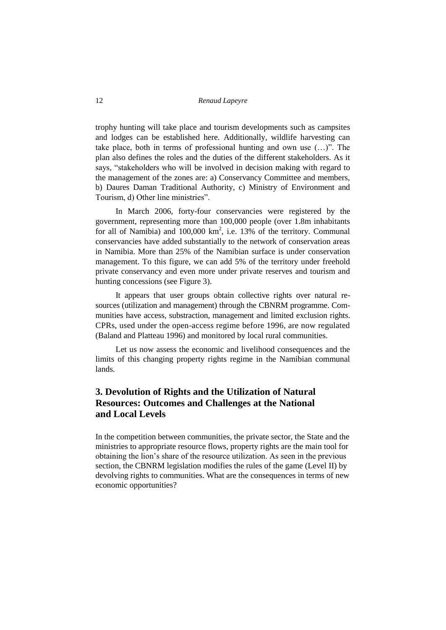trophy hunting will take place and tourism developments such as campsites and lodges can be established here. Additionally, wildlife harvesting can take place, both in terms of professional hunting and own use (…)". The plan also defines the roles and the duties of the different stakeholders. As it says, "stakeholders who will be involved in decision making with regard to the management of the zones are: a) Conservancy Committee and members, b) Daures Daman Traditional Authority, c) Ministry of Environment and Tourism, d) Other line ministries".

In March 2006, forty-four conservancies were registered by the government, representing more than 100,000 people (over 1.8m inhabitants for all of Namibia) and  $100,000 \text{ km}^2$ , i.e. 13% of the territory. Communal conservancies have added substantially to the network of conservation areas in Namibia. More than 25% of the Namibian surface is under conservation management. To this figure, we can add 5% of the territory under freehold private conservancy and even more under private reserves and tourism and hunting concessions (see Figure 3).

It appears that user groups obtain collective rights over natural resources (utilization and management) through the CBNRM programme. Communities have access, substraction, management and limited exclusion rights. CPRs, used under the open-access regime before 1996, are now regulated (Baland and Platteau 1996) and monitored by local rural communities.

Let us now assess the economic and livelihood consequences and the limits of this changing property rights regime in the Namibian communal lands.

# **3. Devolution of Rights and the Utilization of Natural Resources: Outcomes and Challenges at the National and Local Levels**

In the competition between communities, the private sector, the State and the ministries to appropriate resource flows, property rights are the main tool for obtaining the lion"s share of the resource utilization. As seen in the previous section, the CBNRM legislation modifies the rules of the game (Level II) by devolving rights to communities. What are the consequences in terms of new economic opportunities?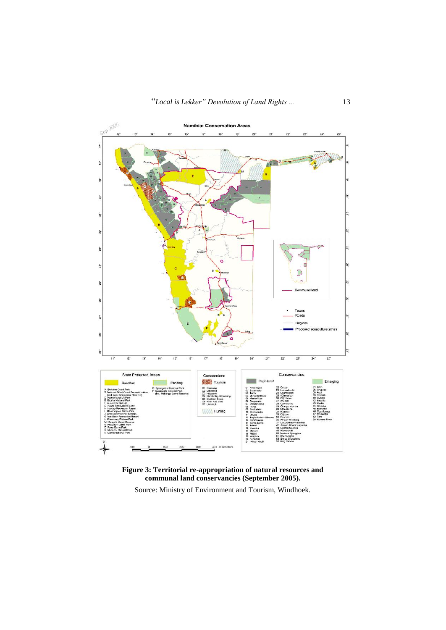

**Figure 3: Territorial re-appropriation of natural resources and communal land conservancies (September 2005).**

Source: Ministry of Environment and Tourism, Windhoek.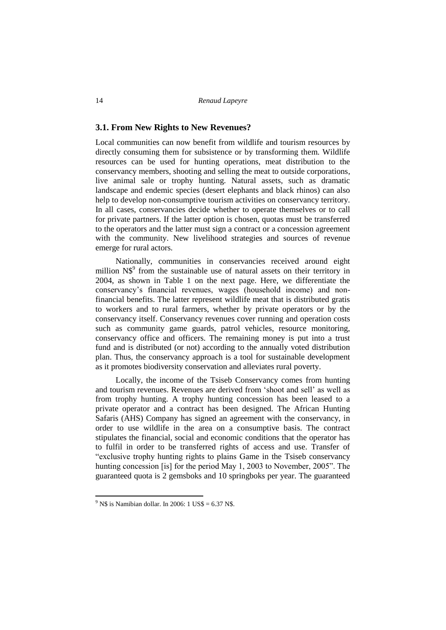### **3.1. From New Rights to New Revenues?**

Local communities can now benefit from wildlife and tourism resources by directly consuming them for subsistence or by transforming them. Wildlife resources can be used for hunting operations, meat distribution to the conservancy members, shooting and selling the meat to outside corporations, live animal sale or trophy hunting. Natural assets, such as dramatic landscape and endemic species (desert elephants and black rhinos) can also help to develop non-consumptive tourism activities on conservancy territory. In all cases, conservancies decide whether to operate themselves or to call for private partners. If the latter option is chosen, quotas must be transferred to the operators and the latter must sign a contract or a concession agreement with the community. New livelihood strategies and sources of revenue emerge for rural actors.

Nationally, communities in conservancies received around eight million  $N\$ <sup>9</sup> from the sustainable use of natural assets on their territory in 2004, as shown in Table 1 on the next page. Here, we differentiate the conservancy"s financial revenues, wages (household income) and nonfinancial benefits. The latter represent wildlife meat that is distributed gratis to workers and to rural farmers, whether by private operators or by the conservancy itself. Conservancy revenues cover running and operation costs such as community game guards, patrol vehicles, resource monitoring, conservancy office and officers. The remaining money is put into a trust fund and is distributed (or not) according to the annually voted distribution plan. Thus, the conservancy approach is a tool for sustainable development as it promotes biodiversity conservation and alleviates rural poverty.

Locally, the income of the Tsiseb Conservancy comes from hunting and tourism revenues. Revenues are derived from "shoot and sell" as well as from trophy hunting. A trophy hunting concession has been leased to a private operator and a contract has been designed. The African Hunting Safaris (AHS) Company has signed an agreement with the conservancy, in order to use wildlife in the area on a consumptive basis. The contract stipulates the financial, social and economic conditions that the operator has to fulfil in order to be transferred rights of access and use. Transfer of "exclusive trophy hunting rights to plains Game in the Tsiseb conservancy hunting concession [is] for the period May 1, 2003 to November, 2005". The guaranteed quota is 2 gemsboks and 10 springboks per year. The guaranteed

 $9$  N\$ is Namibian dollar. In 2006: 1 US\$ = 6.37 N\$.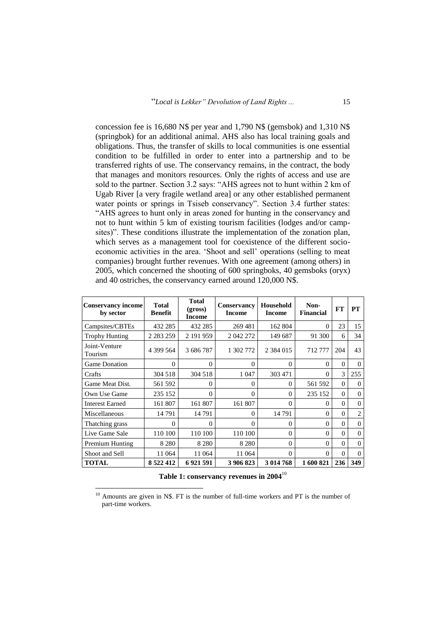concession fee is 16,680 N\$ per year and 1,790 N\$ (gemsbok) and 1,310 N\$ (springbok) for an additional animal. AHS also has local training goals and obligations. Thus, the transfer of skills to local communities is one essential condition to be fulfilled in order to enter into a partnership and to be transferred rights of use. The conservancy remains, in the contract, the body that manages and monitors resources. Only the rights of access and use are sold to the partner. Section 3.2 says: "AHS agrees not to hunt within 2 km of Ugab River [a very fragile wetland area] or any other established permanent water points or springs in Tsiseb conservancy". Section 3.4 further states: "AHS agrees to hunt only in areas zoned for hunting in the conservancy and not to hunt within 5 km of existing tourism facilities (lodges and/or campsites)". These conditions illustrate the implementation of the zonation plan, which serves as a management tool for coexistence of the different socioeconomic activities in the area. "Shoot and sell" operations (selling to meat companies) brought further revenues. With one agreement (among others) in 2005, which concerned the shooting of 600 springboks, 40 gemsboks (oryx) and 40 ostriches, the conservancy earned around 120,000 N\$.

| <b>Conservancy income</b><br>by sector | <b>Total</b><br><b>Benefit</b> | <b>Total</b><br>(gross)<br><b>Income</b> | <b>Conservancy</b><br><b>Income</b> | Household<br><b>Income</b> | Non-<br><b>Financial</b> | FT       | <b>PT</b> |
|----------------------------------------|--------------------------------|------------------------------------------|-------------------------------------|----------------------------|--------------------------|----------|-----------|
| Campsites/CBTEs                        | 432 285                        | 432 285                                  | 269 481                             | 162 804                    | 0                        | 23       | 15        |
| <b>Trophy Hunting</b>                  | 2 2 8 2 2 5 9                  | 2 191 959                                | 2 042 272                           | 149 687                    | 91 300                   | 6        | 34        |
| Joint-Venture<br>Tourism               | 4 399 564                      | 3 686 787                                | 1 302 772                           | 2 3 8 4 0 1 5              | 712777                   | 204      | 43        |
| <b>Game Donation</b>                   | $\Omega$                       | $\Omega$                                 | $\Omega$                            | $\Omega$                   | $\Omega$                 | $\Omega$ | $\Omega$  |
| Crafts                                 | 304 518                        | 304 518                                  | 1 0 4 7                             | 303 471                    | 0                        | 3        | 255       |
| Game Meat Dist.                        | 561 592                        | $\theta$                                 | $\Omega$                            | $\Omega$                   | 561 592                  | $\Omega$ | $\Omega$  |
| Own Use Game                           | 235 152                        | $\Omega$                                 | $\Omega$                            | $\Omega$                   | 235 152                  | $\Omega$ | $\Omega$  |
| <b>Interest Earned</b>                 | 161 807                        | 161 807                                  | 161 807                             | 0                          | 0                        | 0        | $\Omega$  |
| Miscellaneous                          | 14791                          | 14 791                                   | $\Omega$                            | 14 791                     | $\Omega$                 | $\Omega$ | 2         |
| Thatching grass                        | 0                              | 0                                        | $\Omega$                            | 0                          | 0                        | 0        | $\Omega$  |
| Live Game Sale                         | 110 100                        | 110 100                                  | 110 100                             | $\Omega$                   | $\Omega$                 | $\Omega$ | $\Omega$  |
| Premium Hunting                        | 8 2 8 0                        | 8 2 8 0                                  | 8 2 8 0                             | $\Omega$                   | $\Omega$                 | $\Omega$ | $\Omega$  |
| Shoot and Sell                         | 11 064                         | 11 064                                   | 11 064                              | 0                          | $\Omega$                 | $\Omega$ | $\Omega$  |
| <b>TOTAL</b>                           | 8 5 22 4 12                    | 6921591                                  | 3 906 823                           | 3 014 768                  | 1600821                  | 236      | 349       |

**Table 1: conservancy revenues in 2004**<sup>10</sup>

 $10$  Amounts are given in N\$. FT is the number of full-time workers and PT is the number of part-time workers.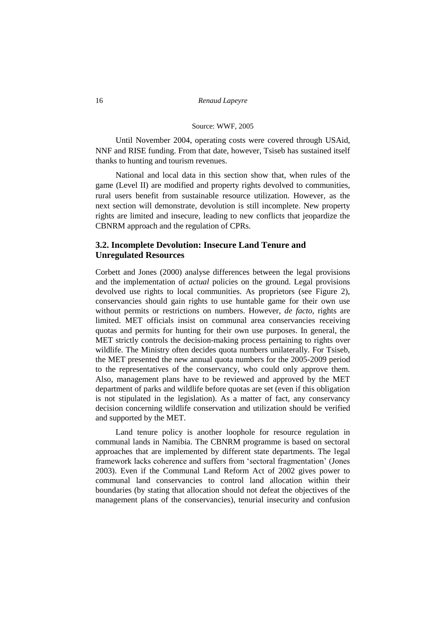#### Source: WWF, 2005

Until November 2004, operating costs were covered through USAid, NNF and RISE funding. From that date, however, Tsiseb has sustained itself thanks to hunting and tourism revenues.

National and local data in this section show that, when rules of the game (Level II) are modified and property rights devolved to communities, rural users benefit from sustainable resource utilization. However, as the next section will demonstrate, devolution is still incomplete. New property rights are limited and insecure, leading to new conflicts that jeopardize the CBNRM approach and the regulation of CPRs.

### **3.2. Incomplete Devolution: Insecure Land Tenure and Unregulated Resources**

Corbett and Jones (2000) analyse differences between the legal provisions and the implementation of *actual* policies on the ground. Legal provisions devolved use rights to local communities. As proprietors (see Figure 2), conservancies should gain rights to use huntable game for their own use without permits or restrictions on numbers. However, *de facto,* rights are limited. MET officials insist on communal area conservancies receiving quotas and permits for hunting for their own use purposes. In general, the MET strictly controls the decision-making process pertaining to rights over wildlife. The Ministry often decides quota numbers unilaterally. For Tsiseb, the MET presented the new annual quota numbers for the 2005-2009 period to the representatives of the conservancy, who could only approve them. Also, management plans have to be reviewed and approved by the MET department of parks and wildlife before quotas are set (even if this obligation is not stipulated in the legislation). As a matter of fact, any conservancy decision concerning wildlife conservation and utilization should be verified and supported by the MET.

Land tenure policy is another loophole for resource regulation in communal lands in Namibia. The CBNRM programme is based on sectoral approaches that are implemented by different state departments. The legal framework lacks coherence and suffers from "sectoral fragmentation" (Jones 2003). Even if the Communal Land Reform Act of 2002 gives power to communal land conservancies to control land allocation within their boundaries (by stating that allocation should not defeat the objectives of the management plans of the conservancies), tenurial insecurity and confusion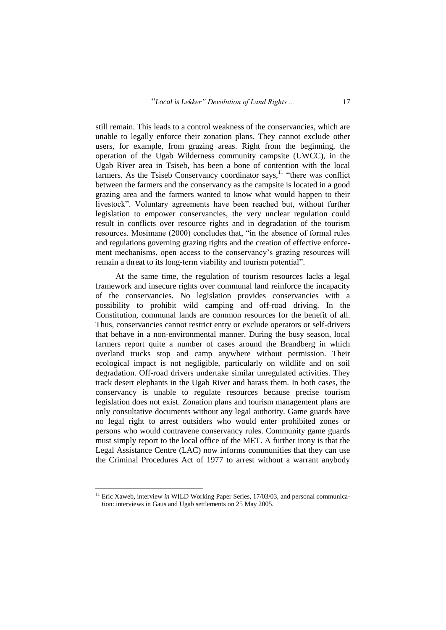still remain. This leads to a control weakness of the conservancies, which are unable to legally enforce their zonation plans. They cannot exclude other users, for example, from grazing areas. Right from the beginning, the operation of the Ugab Wilderness community campsite (UWCC), in the Ugab River area in Tsiseb, has been a bone of contention with the local farmers. As the Tsiseb Conservancy coordinator says, $11$  "there was conflict between the farmers and the conservancy as the campsite is located in a good grazing area and the farmers wanted to know what would happen to their livestock". Voluntary agreements have been reached but, without further legislation to empower conservancies, the very unclear regulation could result in conflicts over resource rights and in degradation of the tourism resources. Mosimane (2000) concludes that, "in the absence of formal rules and regulations governing grazing rights and the creation of effective enforcement mechanisms, open access to the conservancy"s grazing resources will remain a threat to its long-term viability and tourism potential".

At the same time, the regulation of tourism resources lacks a legal framework and insecure rights over communal land reinforce the incapacity of the conservancies. No legislation provides conservancies with a possibility to prohibit wild camping and off-road driving. In the Constitution, communal lands are common resources for the benefit of all. Thus, conservancies cannot restrict entry or exclude operators or self-drivers that behave in a non-environmental manner. During the busy season, local farmers report quite a number of cases around the Brandberg in which overland trucks stop and camp anywhere without permission. Their ecological impact is not negligible, particularly on wildlife and on soil degradation. Off-road drivers undertake similar unregulated activities. They track desert elephants in the Ugab River and harass them. In both cases, the conservancy is unable to regulate resources because precise tourism legislation does not exist. Zonation plans and tourism management plans are only consultative documents without any legal authority. Game guards have no legal right to arrest outsiders who would enter prohibited zones or persons who would contravene conservancy rules. Community game guards must simply report to the local office of the MET. A further irony is that the Legal Assistance Centre (LAC) now informs communities that they can use the Criminal Procedures Act of 1977 to arrest without a warrant anybody

<sup>&</sup>lt;sup>11</sup> Eric Xaweb, interview *in* WILD Working Paper Series, 17/03/03, and personal communication: interviews in Gaus and Ugab settlements on 25 May 2005.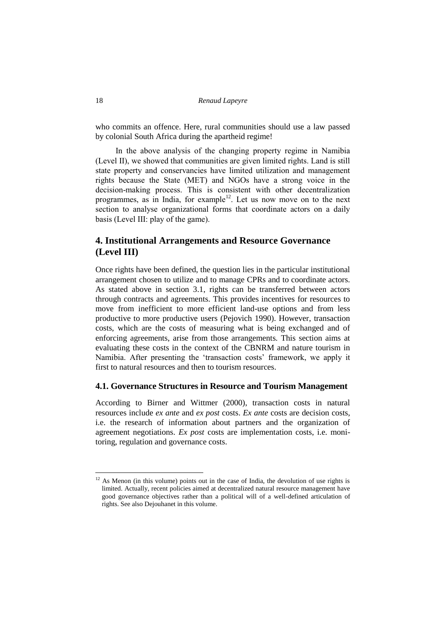who commits an offence. Here, rural communities should use a law passed by colonial South Africa during the apartheid regime!

In the above analysis of the changing property regime in Namibia (Level II), we showed that communities are given limited rights. Land is still state property and conservancies have limited utilization and management rights because the State (MET) and NGOs have a strong voice in the decision-making process. This is consistent with other decentralization programmes, as in India, for example<sup>12</sup>. Let us now move on to the next section to analyse organizational forms that coordinate actors on a daily basis (Level III: play of the game).

## **4. Institutional Arrangements and Resource Governance (Level III)**

Once rights have been defined, the question lies in the particular institutional arrangement chosen to utilize and to manage CPRs and to coordinate actors. As stated above in section 3.1, rights can be transferred between actors through contracts and agreements. This provides incentives for resources to move from inefficient to more efficient land-use options and from less productive to more productive users (Pejovich 1990). However, transaction costs, which are the costs of measuring what is being exchanged and of enforcing agreements, arise from those arrangements. This section aims at evaluating these costs in the context of the CBNRM and nature tourism in Namibia. After presenting the "transaction costs" framework, we apply it first to natural resources and then to tourism resources.

#### **4.1. Governance Structures in Resource and Tourism Management**

According to Birner and Wittmer (2000), transaction costs in natural resources include *ex ante* and *ex post* costs. *Ex ante* costs are decision costs, i.e. the research of information about partners and the organization of agreement negotiations. *Ex post* costs are implementation costs, i.e. monitoring, regulation and governance costs.

 $12$  As Menon (in this volume) points out in the case of India, the devolution of use rights is limited. Actually, recent policies aimed at decentralized natural resource management have good governance objectives rather than a political will of a well-defined articulation of rights. See also Dejouhanet in this volume.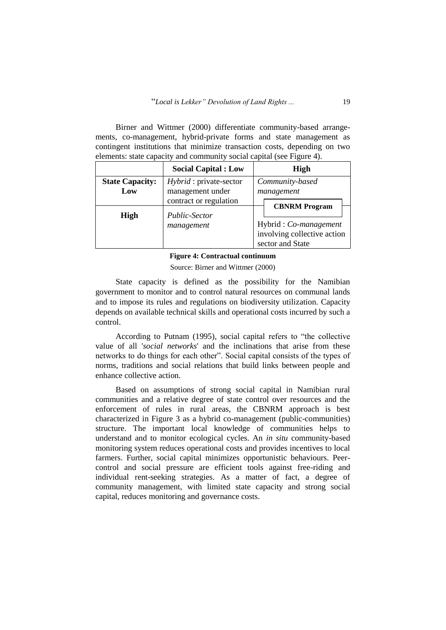Birner and Wittmer (2000) differentiate community-based arrangements, co-management, hybrid-private forms and state management as contingent institutions that minimize transaction costs, depending on two elements: state capacity and community social capital (see Figure 4).

|                               | <b>Social Capital : Low</b>                        | <b>High</b>                                                              |  |  |
|-------------------------------|----------------------------------------------------|--------------------------------------------------------------------------|--|--|
| <b>State Capacity:</b><br>Low | <i>Hybrid</i> : private-sector<br>management under | Community-based<br>management                                            |  |  |
|                               | contract or regulation                             | <b>CBNRM</b> Program                                                     |  |  |
| <b>High</b>                   | Public-Sector<br>management                        | Hybrid: Co-management<br>involving collective action<br>sector and State |  |  |

#### **Figure 4: Contractual continuum**

Source: Birner and Wittmer (2000)

State capacity is defined as the possibility for the Namibian government to monitor and to control natural resources on communal lands and to impose its rules and regulations on biodiversity utilization. Capacity depends on available technical skills and operational costs incurred by such a control.

According to Putnam (1995), social capital refers to "the collective value of all '*[social networks](http://en.wikipedia.org/wiki/Social_network)*' and the inclinations that arise from these networks to do things for each other". Social capital consists of the types of norms, traditions and social relations that build links between people and enhance collective action.

Based on assumptions of strong social capital in Namibian rural communities and a relative degree of state control over resources and the enforcement of rules in rural areas, the CBNRM approach is best characterized in Figure 3 as a hybrid co-management (public-communities) structure. The important local knowledge of communities helps to understand and to monitor ecological cycles. An *in situ* community-based monitoring system reduces operational costs and provides incentives to local farmers. Further, social capital minimizes opportunistic behaviours. Peercontrol and social pressure are efficient tools against free-riding and individual rent-seeking strategies. As a matter of fact, a degree of community management, with limited state capacity and strong social capital, reduces monitoring and governance costs.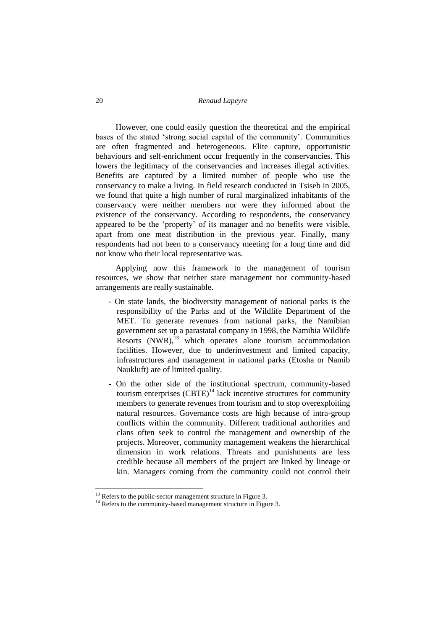However, one could easily question the theoretical and the empirical bases of the stated "strong social capital of the community". Communities are often fragmented and heterogeneous. Elite capture, opportunistic behaviours and self-enrichment occur frequently in the conservancies. This lowers the legitimacy of the conservancies and increases illegal activities. Benefits are captured by a limited number of people who use the conservancy to make a living. In field research conducted in Tsiseb in 2005, we found that quite a high number of rural marginalized inhabitants of the conservancy were neither members nor were they informed about the existence of the conservancy. According to respondents, the conservancy appeared to be the "property" of its manager and no benefits were visible, apart from one meat distribution in the previous year. Finally, many respondents had not been to a conservancy meeting for a long time and did not know who their local representative was.

Applying now this framework to the management of tourism resources, we show that neither state management nor community-based arrangements are really sustainable.

- On state lands, the biodiversity management of national parks is the responsibility of the Parks and of the Wildlife Department of the MET. To generate revenues from national parks, the Namibian government set up a parastatal company in 1998, the Namibia Wildlife Resorts  $(NWR)$ ,<sup>13</sup> which operates alone tourism accommodation facilities. However, due to underinvestment and limited capacity, infrastructures and management in national parks (Etosha or Namib Naukluft) are of limited quality.
- On the other side of the institutional spectrum, community-based tourism enterprises  $(CBTE)^{14}$  lack incentive structures for community members to generate revenues from tourism and to stop overexploiting natural resources. Governance costs are high because of intra-group conflicts within the community. Different traditional authorities and clans often seek to control the management and ownership of the projects. Moreover, community management weakens the hierarchical dimension in work relations. Threats and punishments are less credible because all members of the project are linked by lineage or kin. Managers coming from the community could not control their

<sup>&</sup>lt;sup>13</sup> Refers to the public-sector management structure in Figure 3.

<sup>&</sup>lt;sup>14</sup> Refers to the community-based management structure in Figure 3.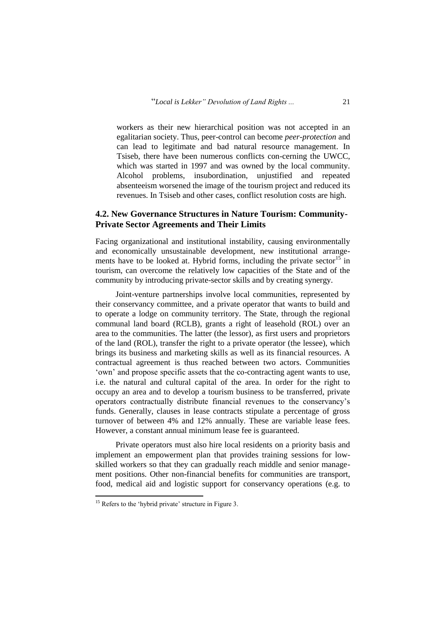workers as their new hierarchical position was not accepted in an egalitarian society. Thus, peer-control can become *peer-protection* and can lead to legitimate and bad natural resource management. In Tsiseb, there have been numerous conflicts con-cerning the UWCC, which was started in 1997 and was owned by the local community. Alcohol problems, insubordination, unjustified and repeated absenteeism worsened the image of the tourism project and reduced its revenues. In Tsiseb and other cases, conflict resolution costs are high.

### **4.2. New Governance Structures in Nature Tourism: Community-Private Sector Agreements and Their Limits**

Facing organizational and institutional instability, causing environmentally and economically unsustainable development, new institutional arrangements have to be looked at. Hybrid forms, including the private sector<sup>15</sup> in tourism, can overcome the relatively low capacities of the State and of the community by introducing private-sector skills and by creating synergy.

Joint-venture partnerships involve local communities, represented by their conservancy committee, and a private operator that wants to build and to operate a lodge on community territory. The State, through the regional communal land board (RCLB), grants a right of leasehold (ROL) over an area to the communities. The latter (the lessor), as first users and proprietors of the land (ROL), transfer the right to a private operator (the lessee), which brings its business and marketing skills as well as its financial resources. A contractual agreement is thus reached between two actors. Communities 'own' and propose specific assets that the co-contracting agent wants to use, i.e. the natural and cultural capital of the area. In order for the right to occupy an area and to develop a tourism business to be transferred, private operators contractually distribute financial revenues to the conservancy"s funds. Generally, clauses in lease contracts stipulate a percentage of gross turnover of between 4% and 12% annually. These are variable lease fees. However, a constant annual minimum lease fee is guaranteed.

Private operators must also hire local residents on a priority basis and implement an empowerment plan that provides training sessions for lowskilled workers so that they can gradually reach middle and senior management positions. Other non-financial benefits for communities are transport, food, medical aid and logistic support for conservancy operations (e.g. to

 $15$  Refers to the 'hybrid private' structure in Figure 3.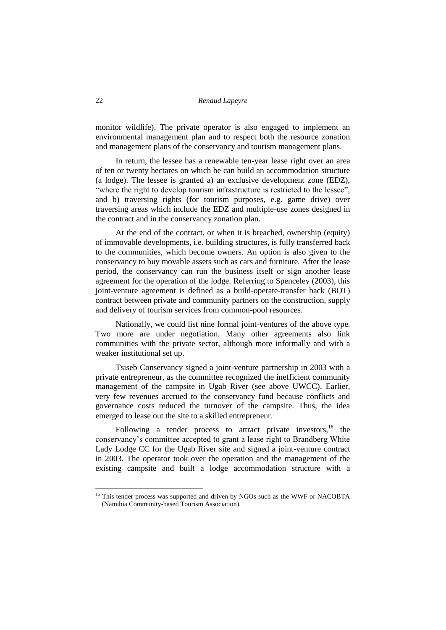monitor wildlife). The private operator is also engaged to implement an environmental management plan and to respect both the resource zonation and management plans of the conservancy and tourism management plans.

In return, the lessee has a renewable ten-year lease right over an area of ten or twenty hectares on which he can build an accommodation structure (a lodge). The lessee is granted a) an exclusive development zone (EDZ), "where the right to develop tourism infrastructure is restricted to the lessee", and b) traversing rights (for tourism purposes, e.g. game drive) over traversing areas which include the EDZ and multiple-use zones designed in the contract and in the conservancy zonation plan.

At the end of the contract, or when it is breached, ownership (equity) of immovable developments, i.e. building structures, is fully transferred back to the communities, which become owners. An option is also given to the conservancy to buy movable assets such as cars and furniture. After the lease period, the conservancy can run the business itself or sign another lease agreement for the operation of the lodge. Referring to Spenceley (2003), this joint-venture agreement is defined as a build-operate-transfer back (BOT) contract between private and community partners on the construction, supply and delivery of tourism services from common-pool resources.

Nationally, we could list nine formal joint-ventures of the above type. Two more are under negotiation. Many other agreements also link communities with the private sector, although more informally and with a weaker institutional set up.

Tsiseb Conservancy signed a joint-venture partnership in 2003 with a private entrepreneur, as the committee recognized the inefficient community management of the campsite in Ugab River (see above UWCC). Earlier, very few revenues accrued to the conservancy fund because conflicts and governance costs reduced the turnover of the campsite. Thus, the idea emerged to lease out the site to a skilled entrepreneur.

Following a tender process to attract private investors,  $16$  the conservancy"s committee accepted to grant a lease right to Brandberg White Lady Lodge CC for the Ugab River site and signed a joint-venture contract in 2003. The operator took over the operation and the management of the existing campsite and built a lodge accommodation structure with a

<sup>&</sup>lt;sup>16</sup> This tender process was supported and driven by NGOs such as the WWF or NACOBTA (Namibia Community-based Tourism Association).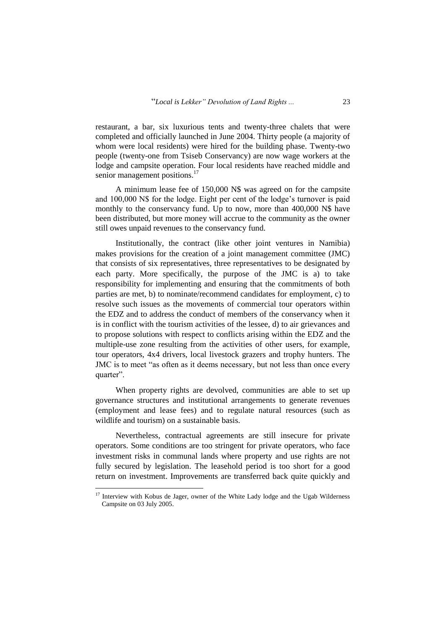restaurant, a bar, six luxurious tents and twenty-three chalets that were completed and officially launched in June 2004. Thirty people (a majority of whom were local residents) were hired for the building phase. Twenty-two people (twenty-one from Tsiseb Conservancy) are now wage workers at the lodge and campsite operation. Four local residents have reached middle and senior management positions.<sup>17</sup>

A minimum lease fee of 150,000 N\$ was agreed on for the campsite and 100,000 N\$ for the lodge. Eight per cent of the lodge"s turnover is paid monthly to the conservancy fund. Up to now, more than 400,000 N\$ have been distributed, but more money will accrue to the community as the owner still owes unpaid revenues to the conservancy fund.

Institutionally, the contract (like other joint ventures in Namibia) makes provisions for the creation of a joint management committee (JMC) that consists of six representatives, three representatives to be designated by each party. More specifically, the purpose of the JMC is a) to take responsibility for implementing and ensuring that the commitments of both parties are met, b) to nominate/recommend candidates for employment, c) to resolve such issues as the movements of commercial tour operators within the EDZ and to address the conduct of members of the conservancy when it is in conflict with the tourism activities of the lessee, d) to air grievances and to propose solutions with respect to conflicts arising within the EDZ and the multiple-use zone resulting from the activities of other users, for example, tour operators, 4x4 drivers, local livestock grazers and trophy hunters. The JMC is to meet "as often as it deems necessary, but not less than once every quarter".

When property rights are devolved, communities are able to set up governance structures and institutional arrangements to generate revenues (employment and lease fees) and to regulate natural resources (such as wildlife and tourism) on a sustainable basis.

Nevertheless, contractual agreements are still insecure for private operators. Some conditions are too stringent for private operators, who face investment risks in communal lands where property and use rights are not fully secured by legislation. The leasehold period is too short for a good return on investment. Improvements are transferred back quite quickly and

<sup>&</sup>lt;sup>17</sup> Interview with Kobus de Jager, owner of the White Lady lodge and the Ugab Wilderness Campsite on 03 July 2005.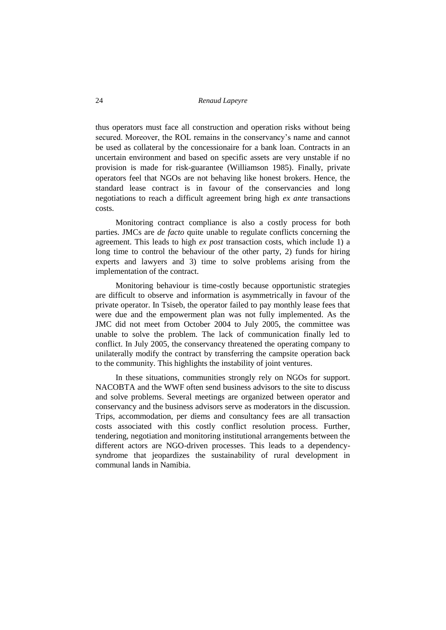thus operators must face all construction and operation risks without being secured. Moreover, the ROL remains in the conservancy"s name and cannot be used as collateral by the concessionaire for a bank loan. Contracts in an uncertain environment and based on specific assets are very unstable if no provision is made for risk-guarantee (Williamson 1985). Finally, private operators feel that NGOs are not behaving like honest brokers. Hence, the standard lease contract is in favour of the conservancies and long negotiations to reach a difficult agreement bring high *ex ante* transactions costs.

Monitoring contract compliance is also a costly process for both parties. JMCs are *de facto* quite unable to regulate conflicts concerning the agreement. This leads to high *ex post* transaction costs, which include 1) a long time to control the behaviour of the other party, 2) funds for hiring experts and lawyers and 3) time to solve problems arising from the implementation of the contract.

Monitoring behaviour is time-costly because opportunistic strategies are difficult to observe and information is asymmetrically in favour of the private operator. In Tsiseb, the operator failed to pay monthly lease fees that were due and the empowerment plan was not fully implemented. As the JMC did not meet from October 2004 to July 2005, the committee was unable to solve the problem. The lack of communication finally led to conflict. In July 2005, the conservancy threatened the operating company to unilaterally modify the contract by transferring the campsite operation back to the community. This highlights the instability of joint ventures.

In these situations, communities strongly rely on NGOs for support. NACOBTA and the WWF often send business advisors to the site to discuss and solve problems. Several meetings are organized between operator and conservancy and the business advisors serve as moderators in the discussion. Trips, accommodation, per diems and consultancy fees are all transaction costs associated with this costly conflict resolution process. Further, tendering, negotiation and monitoring institutional arrangements between the different actors are NGO-driven processes. This leads to a dependencysyndrome that jeopardizes the sustainability of rural development in communal lands in Namibia.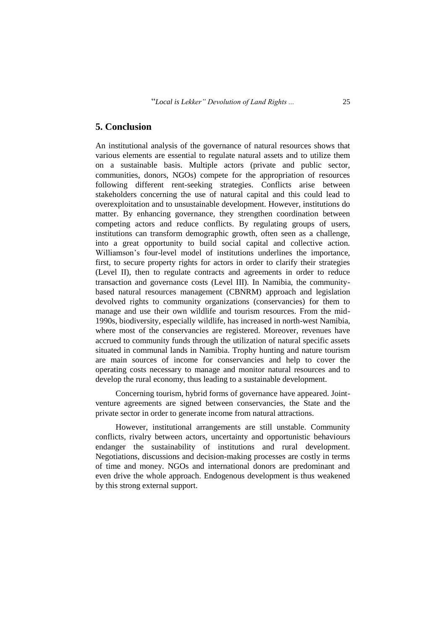### **5. Conclusion**

An institutional analysis of the governance of natural resources shows that various elements are essential to regulate natural assets and to utilize them on a sustainable basis. Multiple actors (private and public sector, communities, donors, NGOs) compete for the appropriation of resources following different rent-seeking strategies. Conflicts arise between stakeholders concerning the use of natural capital and this could lead to overexploitation and to unsustainable development. However, institutions do matter. By enhancing governance, they strengthen coordination between competing actors and reduce conflicts. By regulating groups of users, institutions can transform demographic growth, often seen as a challenge, into a great opportunity to build social capital and collective action. Williamson"s four-level model of institutions underlines the importance, first, to secure property rights for actors in order to clarify their strategies (Level II), then to regulate contracts and agreements in order to reduce transaction and governance costs (Level III). In Namibia, the communitybased natural resources management (CBNRM) approach and legislation devolved rights to community organizations (conservancies) for them to manage and use their own wildlife and tourism resources. From the mid-1990s, biodiversity, especially wildlife, has increased in north-west Namibia, where most of the conservancies are registered. Moreover, revenues have accrued to community funds through the utilization of natural specific assets situated in communal lands in Namibia. Trophy hunting and nature tourism are main sources of income for conservancies and help to cover the operating costs necessary to manage and monitor natural resources and to develop the rural economy, thus leading to a sustainable development.

Concerning tourism, hybrid forms of governance have appeared. Jointventure agreements are signed between conservancies, the State and the private sector in order to generate income from natural attractions.

However, institutional arrangements are still unstable. Community conflicts, rivalry between actors, uncertainty and opportunistic behaviours endanger the sustainability of institutions and rural development. Negotiations, discussions and decision-making processes are costly in terms of time and money. NGOs and international donors are predominant and even drive the whole approach. Endogenous development is thus weakened by this strong external support.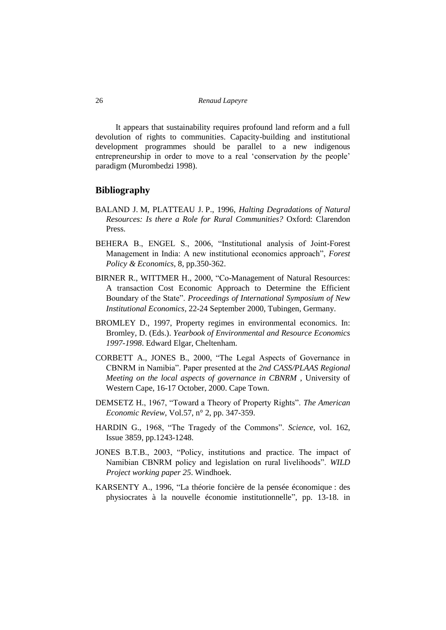It appears that sustainability requires profound land reform and a full devolution of rights to communities. Capacity-building and institutional development programmes should be parallel to a new indigenous entrepreneurship in order to move to a real 'conservation *by* the people' paradigm (Murombedzi 1998).

### **Bibliography**

- BALAND J. M, PLATTEAU J. P., 1996, *Halting Degradations of Natural Resources: Is there a Role for Rural Communities?* Oxford: Clarendon Press.
- BEHERA B., ENGEL S., 2006, "Institutional analysis of Joint-Forest Management in India: A new institutional economics approach", *Forest Policy & Economics*, 8, pp.350-362.
- BIRNER R., WITTMER H., 2000, "Co-Management of Natural Resources: A transaction Cost Economic Approach to Determine the Efficient Boundary of the State". *Proceedings of International Symposium of New Institutional Economics*, 22-24 September 2000, Tubingen, Germany.
- BROMLEY D., 1997, Property regimes in environmental economics. In: Bromley, D. (Eds.). *Yearbook of Environmental and Resource Economics 1997-1998*. Edward Elgar, Cheltenham.
- CORBETT A., JONES B., 2000, "The Legal Aspects of Governance in CBNRM in Namibia". Paper presented at the *2nd CASS/PLAAS Regional Meeting on the local aspects of governance in CBNRM* , University of Western Cape, 16-17 October, 2000. Cape Town.
- DEMSETZ H., 1967, "Toward a Theory of Property Rights". *The American Economic Review*, Vol.57, n° 2, pp. 347-359.
- HARDIN G., 1968, "The Tragedy of the Commons". *Science*, vol. 162, Issue 3859, pp.1243-1248.
- JONES B.T.B., 2003, "Policy, institutions and practice. The impact of Namibian CBNRM policy and legislation on rural livelihoods". *WILD Project working paper 25*. Windhoek.
- KARSENTY A., 1996, "La théorie foncière de la pensée économique : des physiocrates à la nouvelle économie institutionnelle", pp. 13-18. in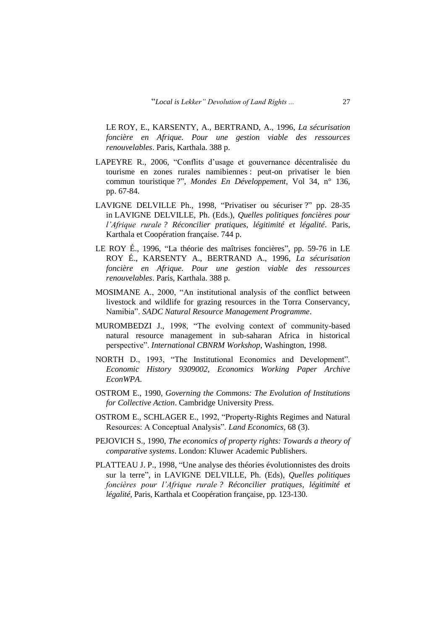LE ROY, E., KARSENTY, A., BERTRAND, A., 1996, *La sécurisation foncière en Afrique. Pour une gestion viable des ressources renouvelables*. Paris, Karthala. 388 p.

- LAPEYRE R., 2006, "Conflits d"usage et gouvernance décentralisée du tourisme en zones rurales namibiennes : peut-on privatiser le bien commun touristique ?", *Mondes En Développement*, Vol 34, n° 136, pp. 67-84.
- LAVIGNE DELVILLE Ph., 1998, "Privatiser ou sécuriser ?" pp. 28-35 in LAVIGNE DELVILLE, Ph. (Eds.), *Quelles politiques foncières pour l'Afrique rurale ? Réconcilier pratiques, légitimité et légalité*. Paris, Karthala et Coopération française. 744 p.
- LE ROY É., 1996, "La théorie des maîtrises foncières", pp. 59-76 in LE ROY É., KARSENTY A., BERTRAND A., 1996, *La sécurisation foncière en Afrique. Pour une gestion viable des ressources renouvelables*. Paris, Karthala. 388 p.
- MOSIMANE A., 2000, "An institutional analysis of the conflict between livestock and wildlife for grazing resources in the Torra Conservancy, Namibia". *SADC Natural Resource Management Programme*.
- MUROMBEDZI J., 1998, "The evolving context of community-based natural resource management in sub-saharan Africa in historical perspective". *International CBNRM Workshop*, Washington, 1998.
- NORTH D., 1993, "The Institutional Economics and Development". *[Economic History](http://ideas.repec.org/s/wpa/wuwpeh.html) 9309002, Economics Working Paper Archive EconWPA*.
- OSTROM E., 1990, *Governing the Commons: The Evolution of Institutions for Collective Action*. Cambridge University Press.
- OSTROM E., SCHLAGER E., 1992, "Property-Rights Regimes and Natural Resources: A Conceptual Analysis". *Land Economics*, 68 (3).
- PEJOVICH S., 1990, *The economics of property rights: Towards a theory of comparative systems*. London: Kluwer Academic Publishers.
- PLATTEAU J. P., 1998, "Une analyse des théories évolutionnistes des droits sur la terre", in LAVIGNE DELVILLE, Ph. (Eds), *Quelles politiques foncières pour l'Afrique rurale ? Réconcilier pratiques, légitimité et légalité*, Paris, Karthala et Coopération française, pp. 123-130.